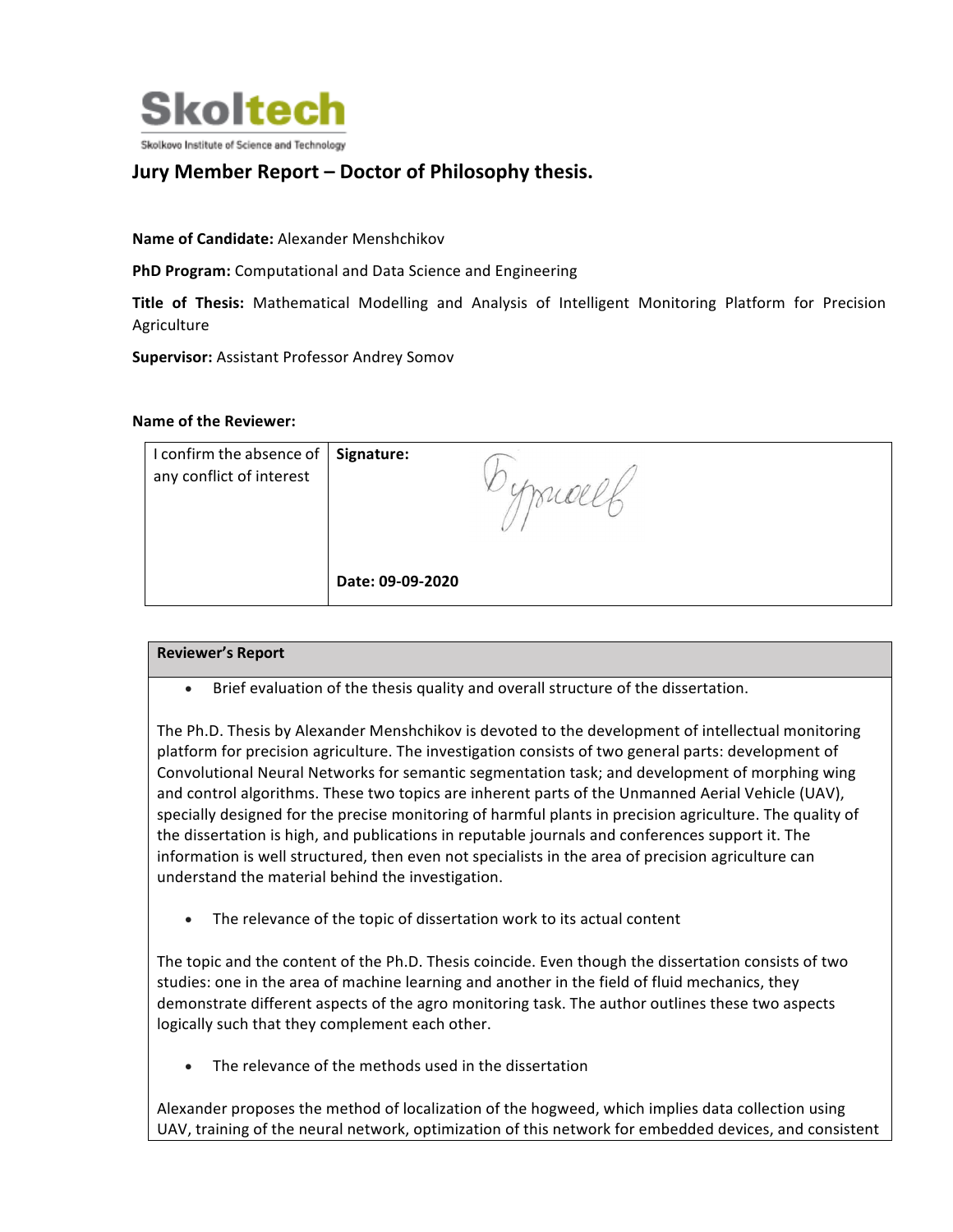

## **Jury Member Report – Doctor of Philosophy thesis.**

**Name of Candidate:** Alexander Menshchikov

**PhD Program:** Computational and Data Science and Engineering

**Title of Thesis:** Mathematical Modelling and Analysis of Intelligent Monitoring Platform for Precision Agriculture

**Supervisor:** Assistant Professor Andrey Somov

## **Name of the Reviewer:**

| I confirm the absence of<br>any conflict of interest | Signature:       |  |
|------------------------------------------------------|------------------|--|
|                                                      | Date: 09-09-2020 |  |

## **Reviewer's Report**

Brief evaluation of the thesis quality and overall structure of the dissertation.

The Ph.D. Thesis by Alexander Menshchikov is devoted to the development of intellectual monitoring platform for precision agriculture. The investigation consists of two general parts: development of Convolutional Neural Networks for semantic segmentation task; and development of morphing wing and control algorithms. These two topics are inherent parts of the Unmanned Aerial Vehicle (UAV), specially designed for the precise monitoring of harmful plants in precision agriculture. The quality of the dissertation is high, and publications in reputable journals and conferences support it. The information is well structured, then even not specialists in the area of precision agriculture can understand the material behind the investigation.

• The relevance of the topic of dissertation work to its actual content

The topic and the content of the Ph.D. Thesis coincide. Even though the dissertation consists of two studies: one in the area of machine learning and another in the field of fluid mechanics, they demonstrate different aspects of the agro monitoring task. The author outlines these two aspects logically such that they complement each other.

The relevance of the methods used in the dissertation

Alexander proposes the method of localization of the hogweed, which implies data collection using UAV, training of the neural network, optimization of this network for embedded devices, and consistent